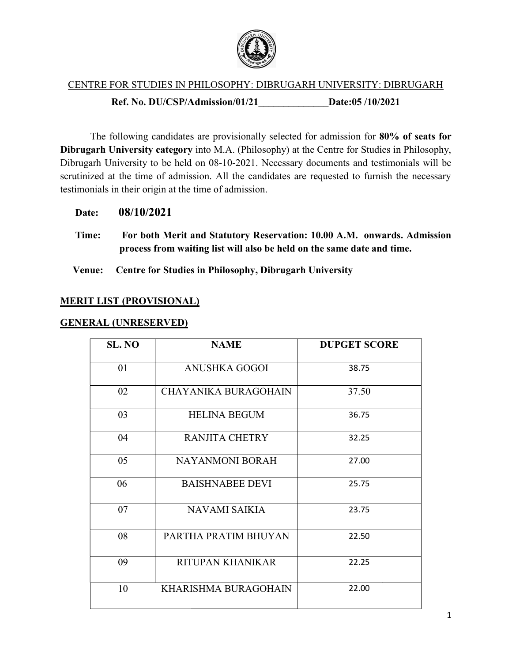

#### CENTRE FOR STUDIES IN PHILOSOPHY: DIBRUGARH UNIVERSITY: DIBRUGARH Ref. No. DU/CSP/A DU/CSP/Admission/01/21\_\_\_\_\_\_\_\_\_\_\_\_\_\_Date:05 /10/202 Date:05/10/2021

The following candidates are provisionally selected for admission for 80% of seats for Dibrugarh University category into M.A. (Philosophy) at the Centre for Studies in Philosophy, Dibrugarh University category into M.A. (Philosophy) at the Centre for Studies in Philosophy,<br>Dibrugarh University to be held on 08-10-2021. Necessary documents and testimonials will be scrutinized at the time of admission. All the candidates are requested to furnish the necessary testimonials in their origin at the time of admission.

Date: 08/10/2021

Time: For both Merit and Statutory Reservation: 10.00 A.M. onwards. Admission process from waiting list will also be held on the same date and time.

Venue: Centre for Studies in Philosophy, Dibrugarh University

### MERIT LIST (PROVISIONAL)

### GENERAL (UNRESERVED)

| process from waiting list will also be held on the same date and time. |                                                               |                     |  |  |
|------------------------------------------------------------------------|---------------------------------------------------------------|---------------------|--|--|
| ue:                                                                    | <b>Centre for Studies in Philosophy, Dibrugarh University</b> |                     |  |  |
| <u><b>T LIST (PROVISIONAL)</b></u>                                     |                                                               |                     |  |  |
| <u>RAL (UNRESERVED)</u>                                                |                                                               |                     |  |  |
| SL. NO                                                                 | <b>NAME</b>                                                   | <b>DUPGET SCORE</b> |  |  |
| 01                                                                     | <b>ANUSHKA GOGOI</b>                                          | 38.75               |  |  |
| 02                                                                     | <b>CHAYANIKA BURAGOHAIN</b>                                   | 37.50               |  |  |
| 03                                                                     | <b>HELINA BEGUM</b>                                           | 36.75               |  |  |
| 04                                                                     | <b>RANJITA CHETRY</b>                                         | 32.25               |  |  |
| 05                                                                     | <b>NAYANMONI BORAH</b>                                        | 27.00               |  |  |
| 06                                                                     | <b>BAISHNABEE DEVI</b>                                        | 25.75               |  |  |
| 07                                                                     | <b>NAVAMI SAIKIA</b>                                          | 23.75               |  |  |
| 08                                                                     | PARTHA PRATIM BHUYAN                                          | 22.50               |  |  |
| 09                                                                     | RITUPAN KHANIKAR                                              | 22.25               |  |  |
| 10                                                                     | KHARISHMA BURAGOHAIN                                          | 22.00               |  |  |
|                                                                        |                                                               |                     |  |  |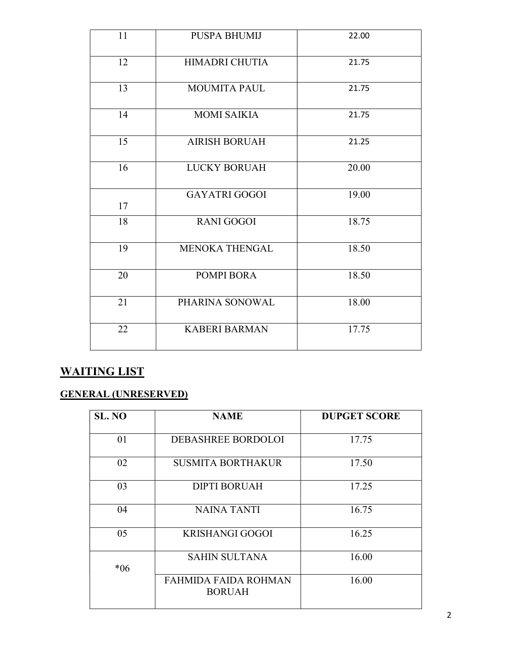| 11 | <b>PUSPA BHUMIJ</b>   | 22.00 |
|----|-----------------------|-------|
| 12 | <b>HIMADRI CHUTIA</b> | 21.75 |
| 13 | <b>MOUMITA PAUL</b>   | 21.75 |
| 14 | <b>MOMI SAIKIA</b>    | 21.75 |
| 15 | <b>AIRISH BORUAH</b>  | 21.25 |
| 16 | <b>LUCKY BORUAH</b>   | 20.00 |
| 17 | <b>GAYATRI GOGOI</b>  | 19.00 |
| 18 | <b>RANI GOGOI</b>     | 18.75 |
| 19 | <b>MENOKA THENGAL</b> | 18.50 |
| 20 | POMPI BORA            | 18.50 |
| 21 | PHARINA SONOWAL       | 18.00 |
| 22 | <b>KABERI BARMAN</b>  | 17.75 |

# WAITING LIST

# GENERAL (UNRESERVED)

| SL. NO | <b>NAME</b>                           | <b>DUPGET SCORE</b> |
|--------|---------------------------------------|---------------------|
| 01     | DEBASHREE BORDOLOI                    | 17.75               |
| 02     | <b>SUSMITA BORTHAKUR</b>              | 17.50               |
| 03     | <b>DIPTI BORUAH</b>                   | 17.25               |
| 04     | NAINA TANTI                           | 16.75               |
| 05     | <b>KRISHANGI GOGOI</b>                | 16.25               |
| $*06$  | <b>SAHIN SULTANA</b>                  | 16.00               |
|        | FAHMIDA FAIDA ROHMAN<br><b>BORUAH</b> | 16.00               |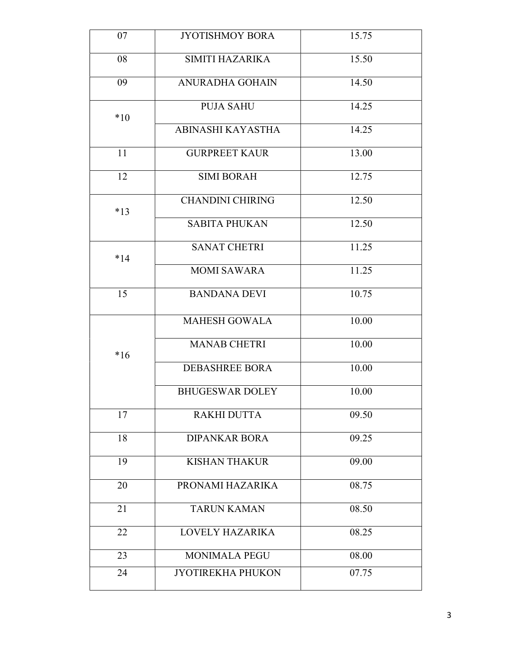| 07       | <b>JYOTISHMOY BORA</b>                           | 15.75          |
|----------|--------------------------------------------------|----------------|
| 08       | SIMITI HAZARIKA                                  | 15.50          |
| 09       | <b>ANURADHA GOHAIN</b>                           | 14.50          |
|          | <b>PUJA SAHU</b>                                 | 14.25          |
| $*10$    | ABINASHI KAYASTHA                                | 14.25          |
| 11       | <b>GURPREET KAUR</b>                             | 13.00          |
| 12       | <b>SIMI BORAH</b>                                | 12.75          |
|          | <b>CHANDINI CHIRING</b>                          | 12.50          |
| $*13$    | <b>SABITA PHUKAN</b>                             | 12.50          |
|          | <b>SANAT CHETRI</b>                              | 11.25          |
| $*14$    | <b>MOMI SAWARA</b>                               | 11.25          |
| 15       | <b>BANDANA DEVI</b>                              | 10.75          |
|          | <b>MAHESH GOWALA</b>                             | 10.00          |
|          | <b>MANAB CHETRI</b>                              | 10.00          |
| $*16$    | <b>DEBASHREE BORA</b>                            | 10.00          |
|          | <b>BHUGESWAR DOLEY</b>                           | 10.00          |
| 17       | <b>RAKHI DUTTA</b>                               | 09.50          |
| 18       | <b>DIPANKAR BORA</b>                             | 09.25          |
| 19       | <b>KISHAN THAKUR</b>                             | 09.00          |
| 20       | PRONAMI HAZARIKA                                 | 08.75          |
| 21       | <b>TARUN KAMAN</b>                               | 08.50          |
|          |                                                  |                |
| 22       | LOVELY HAZARIKA                                  | 08.25          |
| 23<br>24 | <b>MONIMALA PEGU</b><br><b>JYOTIREKHA PHUKON</b> | 08.00<br>07.75 |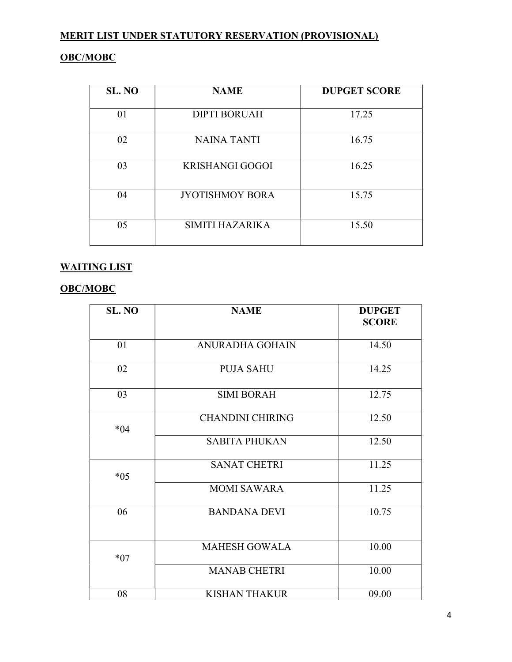## OBC/MOBC

| SL. NO | <b>NAME</b>            | <b>DUPGET SCORE</b> |
|--------|------------------------|---------------------|
| 01     | <b>DIPTI BORUAH</b>    | 17.25               |
| 02     | <b>NAINA TANTI</b>     | 16.75               |
| 03     | <b>KRISHANGI GOGOI</b> | 16.25               |
| 04     | <b>JYOTISHMOY BORA</b> | 15.75               |
| 05     | SIMITI HAZARIKA        | 15.50               |

## WAITING LIST

## OBC/MOBC

| SL. NO | <b>NAME</b>             | <b>DUPGET</b><br><b>SCORE</b> |
|--------|-------------------------|-------------------------------|
| 01     | <b>ANURADHA GOHAIN</b>  | 14.50                         |
| 02     | <b>PUJA SAHU</b>        | 14.25                         |
| 03     | <b>SIMI BORAH</b>       | 12.75                         |
| $*04$  | <b>CHANDINI CHIRING</b> | 12.50                         |
|        | <b>SABITA PHUKAN</b>    | 12.50                         |
| $*05$  | <b>SANAT CHETRI</b>     | 11.25                         |
|        | <b>MOMI SAWARA</b>      | 11.25                         |
| 06     | <b>BANDANA DEVI</b>     | 10.75                         |
| $*07$  | <b>MAHESH GOWALA</b>    | 10.00                         |
|        | <b>MANAB CHETRI</b>     | 10.00                         |
| 08     | <b>KISHAN THAKUR</b>    | 09.00                         |

4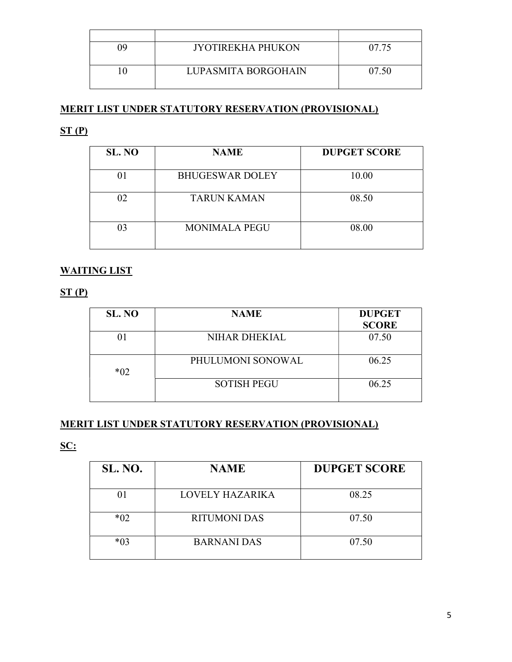| ገባ | <b>IYOTIREKHA PHUKON</b> | 07.75 |
|----|--------------------------|-------|
|    |                          |       |
|    | LUPASMITA BORGOHAIN      | 07.50 |
|    |                          |       |

## $ST(P)$

| SL. NO | <b>NAME</b>            | <b>DUPGET SCORE</b> |
|--------|------------------------|---------------------|
| 01     | <b>BHUGESWAR DOLEY</b> | 10.00               |
| 02     | <b>TARUN KAMAN</b>     | 08.50               |
| 03     | <b>MONIMALA PEGU</b>   | 08.00               |

## WAITING LIST

 $ST(P)$ 

| SL. NO | <b>NAME</b>        | <b>DUPGET</b> |
|--------|--------------------|---------------|
|        |                    | <b>SCORE</b>  |
|        | NIHAR DHEKIAL      | 07.50         |
| $*02$  | PHULUMONI SONOWAL  | 06.25         |
|        | <b>SOTISH PEGU</b> | 06.25         |

## MERIT LIST UNDER STATUTORY RESERVATION (PROVISIONAL)

SC:

| SL. NO. | <b>NAME</b>         | <b>DUPGET SCORE</b> |
|---------|---------------------|---------------------|
|         | LOVELY HAZARIKA     | 08.25               |
| $*02$   | <b>RITUMONI DAS</b> | 07.50               |
| $*03$   | <b>BARNANI DAS</b>  | 07.50               |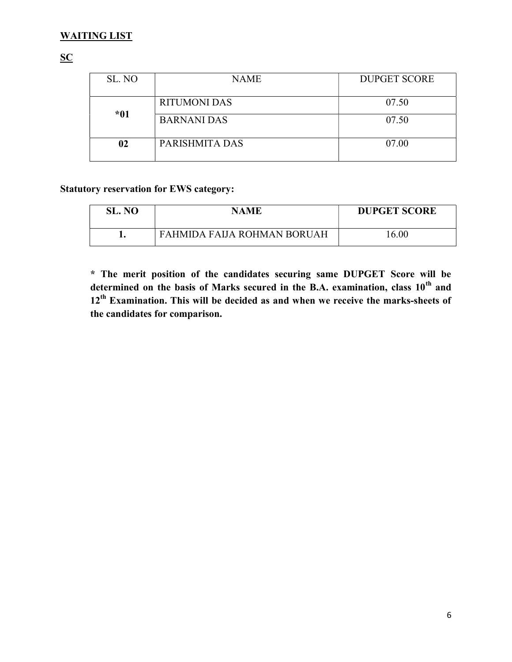## WAITING LIST

## **SC**

| SL. NO | <b>NAME</b>        | <b>DUPGET SCORE</b> |
|--------|--------------------|---------------------|
|        | RITUMONI DAS       | 07.50               |
| *01    | <b>BARNANI DAS</b> | 07.50               |
| 02     | PARISHMITA DAS     | 07.00               |

## Statutory reservation for EWS category:

| SL. NO | <b>NAME</b>                 | <b>DUPGET SCORE</b> |
|--------|-----------------------------|---------------------|
|        | FAHMIDA FALIA ROHMAN BORUAH | 16.00               |

\* The merit position of the candidates securing same DUPGET Score will be determined on the basis of Marks secured in the B.A. examination, class  $10<sup>th</sup>$  and  $12<sup>th</sup>$  Examination. This will be decided as and when we receive the marks-sheets of the candidates for comparison.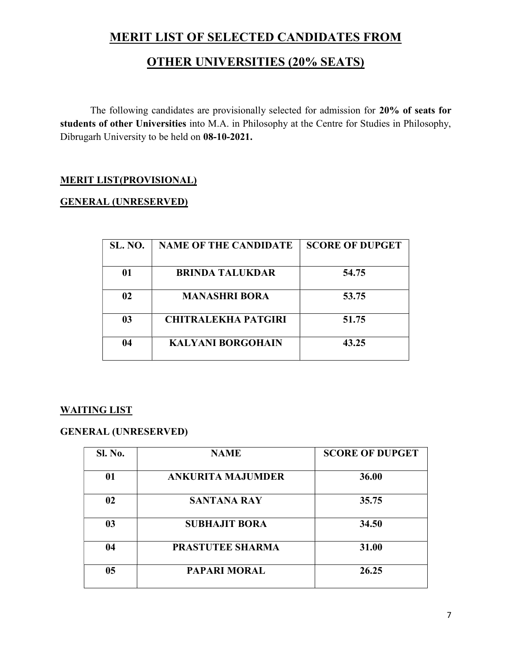## MERIT LIST OF SELECTED CANDIDATES FROM

# OTHER UNIVERSITIES (20% SEATS)

The following candidates are provisionally selected for admission for 20% of seats for students of other Universities into M.A. in Philosophy at the Centre for Studies in Philosophy, Dibrugarh University to be held on 08-10-2021.

## MERIT LIST(PROVISIONAL)

### GENERAL (UNRESERVED)

| <b>SL. NO.</b> | <b>NAME OF THE CANDIDATE</b> | <b>SCORE OF DUPGET</b> |
|----------------|------------------------------|------------------------|
| 01             | <b>BRINDA TALUKDAR</b>       | 54.75                  |
| 02             | <b>MANASHRI BORA</b>         | 53.75                  |
| 03             | <b>CHITRALEKHA PATGIRI</b>   | 51.75                  |
| 04             | <b>KALYANI BORGOHAIN</b>     | 43.25                  |

## WAITING LIST

## GENERAL (UNRESERVED)

| Sl. No.        | <b>NAME</b>              | <b>SCORE OF DUPGET</b> |
|----------------|--------------------------|------------------------|
| 01             | <b>ANKURITA MAJUMDER</b> | 36.00                  |
| 02             | <b>SANTANA RAY</b>       | 35.75                  |
| 0 <sub>3</sub> | <b>SUBHAJIT BORA</b>     | 34.50                  |
| 04             | <b>PRASTUTEE SHARMA</b>  | 31.00                  |
| 0 <sub>5</sub> | <b>PAPARI MORAL</b>      | 26.25                  |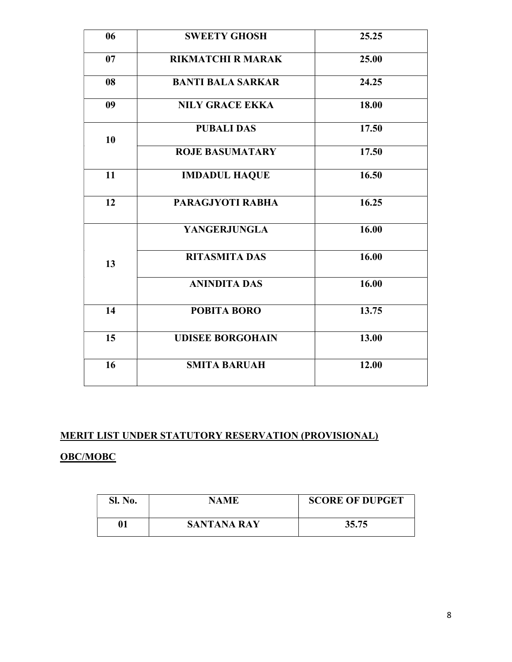| 06 | <b>SWEETY GHOSH</b>      | 25.25 |
|----|--------------------------|-------|
| 07 | <b>RIKMATCHI R MARAK</b> | 25.00 |
| 08 | <b>BANTI BALA SARKAR</b> | 24.25 |
| 09 | <b>NILY GRACE EKKA</b>   | 18.00 |
| 10 | <b>PUBALI DAS</b>        | 17.50 |
|    | <b>ROJE BASUMATARY</b>   | 17.50 |
| 11 | <b>IMDADUL HAQUE</b>     | 16.50 |
| 12 | PARAGJYOTI RABHA         | 16.25 |
|    | <b>YANGERJUNGLA</b>      | 16.00 |
| 13 | <b>RITASMITA DAS</b>     | 16.00 |
|    | <b>ANINDITA DAS</b>      | 16.00 |
| 14 | <b>POBITA BORO</b>       | 13.75 |
| 15 | <b>UDISEE BORGOHAIN</b>  | 13.00 |
| 16 | <b>SMITA BARUAH</b>      | 12.00 |
|    |                          |       |

## OBC/MOBC

| Sl. No. | NAME               | <b>SCORE OF DUPGET</b> |
|---------|--------------------|------------------------|
| 01      | <b>SANTANA RAY</b> | 35.75                  |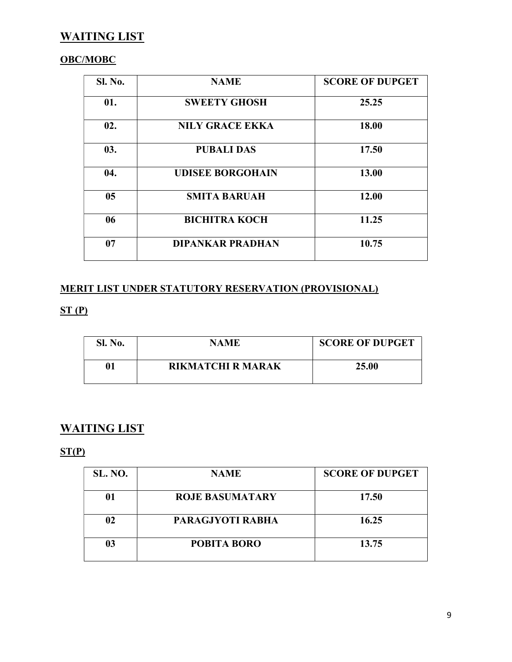## WAITING LIST

## OBC/MOBC

| <b>Sl. No.</b> | <b>NAME</b>             | <b>SCORE OF DUPGET</b> |
|----------------|-------------------------|------------------------|
| 01.            | <b>SWEETY GHOSH</b>     | 25.25                  |
| 02.            | <b>NILY GRACE EKKA</b>  | 18.00                  |
| 03.            | <b>PUBALI DAS</b>       | 17.50                  |
| 04.            | <b>UDISEE BORGOHAIN</b> | 13.00                  |
| 0 <sub>5</sub> | <b>SMITA BARUAH</b>     | 12.00                  |
| 06             | <b>BICHITRA KOCH</b>    | 11.25                  |
| 07             | <b>DIPANKAR PRADHAN</b> | 10.75                  |

## MERIT LIST UNDER STATUTORY RESERVATION (PROVISIONAL)

## $ST(P)$

| Sl. No. | NAME                     | <b>SCORE OF DUPGET</b> |
|---------|--------------------------|------------------------|
| 01      | <b>RIKMATCHI R MARAK</b> | 25.00                  |

## WAITING LIST

## $ST(P)$

| <b>SL. NO.</b> | <b>NAME</b>            | <b>SCORE OF DUPGET</b> |
|----------------|------------------------|------------------------|
| 01             | <b>ROJE BASUMATARY</b> | 17.50                  |
| 02             | PARAGJYOTI RABHA       | 16.25                  |
| 03             | <b>POBITA BORO</b>     | 13.75                  |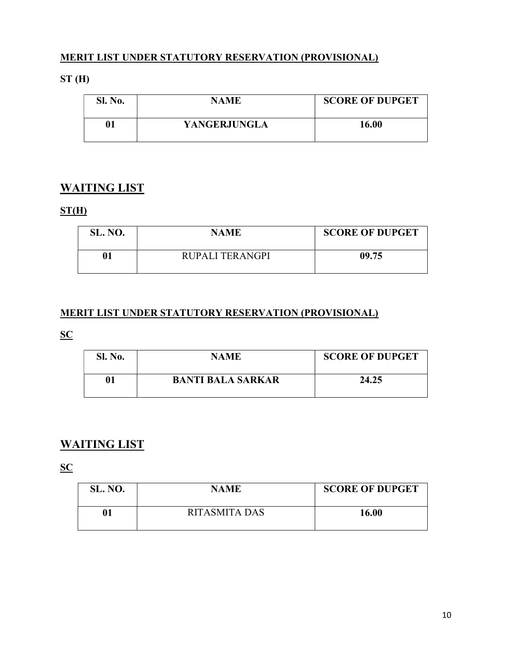## ST (H)

| <b>Sl. No.</b> | <b>NAME</b>  | <b>SCORE OF DUPGET</b> |
|----------------|--------------|------------------------|
| 01             | YANGERJUNGLA | 16.00                  |

## WAITING LIST

## $ST(H)$

| <b>SL. NO.</b> | <b>NAME</b>     | <b>SCORE OF DUPGET</b> |
|----------------|-----------------|------------------------|
| 01             | RUPALI TERANGPI | 09.75                  |

## MERIT LIST UNDER STATUTORY RESERVATION (PROVISIONAL)

## **SC**

| <b>Sl. No.</b> | <b>NAME</b>              | <b>SCORE OF DUPGET</b> |
|----------------|--------------------------|------------------------|
| 01             | <b>BANTI BALA SARKAR</b> | 24.25                  |

## WAITING LIST

**SC** 

| <b>SL. NO.</b> | <b>NAME</b>   | <b>SCORE OF DUPGET</b> |
|----------------|---------------|------------------------|
| 01             | RITASMITA DAS | 16.00                  |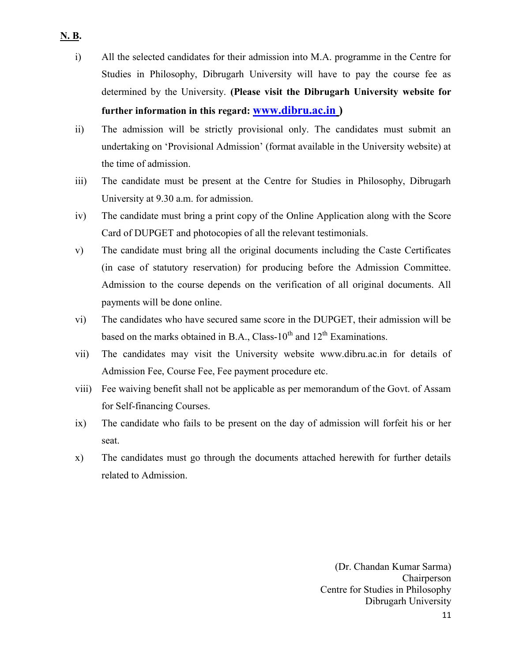- i) All the selected candidates for their admission into M.A. programme in the Centre for Studies in Philosophy, Dibrugarh University will have to pay the course fee as determined by the University. (Please visit the Dibrugarh University website for further information in this regard: www.dibru.ac.in )
- ii) The admission will be strictly provisional only. The candidates must submit an undertaking on 'Provisional Admission' (format available in the University website) at the time of admission.
- iii) The candidate must be present at the Centre for Studies in Philosophy, Dibrugarh University at 9.30 a.m. for admission.
- iv) The candidate must bring a print copy of the Online Application along with the Score Card of DUPGET and photocopies of all the relevant testimonials.
- v) The candidate must bring all the original documents including the Caste Certificates (in case of statutory reservation) for producing before the Admission Committee. Admission to the course depends on the verification of all original documents. All payments will be done online.
- vi) The candidates who have secured same score in the DUPGET, their admission will be based on the marks obtained in B.A., Class- $10^{th}$  and  $12^{th}$  Examinations.
- vii) The candidates may visit the University website www.dibru.ac.in for details of Admission Fee, Course Fee, Fee payment procedure etc.
- viii) Fee waiving benefit shall not be applicable as per memorandum of the Govt. of Assam for Self-financing Courses.
- ix) The candidate who fails to be present on the day of admission will forfeit his or her seat.
- x) The candidates must go through the documents attached herewith for further details related to Admission.

(Dr. Chandan Kumar Sarma) Chairperson Centre for Studies in Philosophy Dibrugarh University

11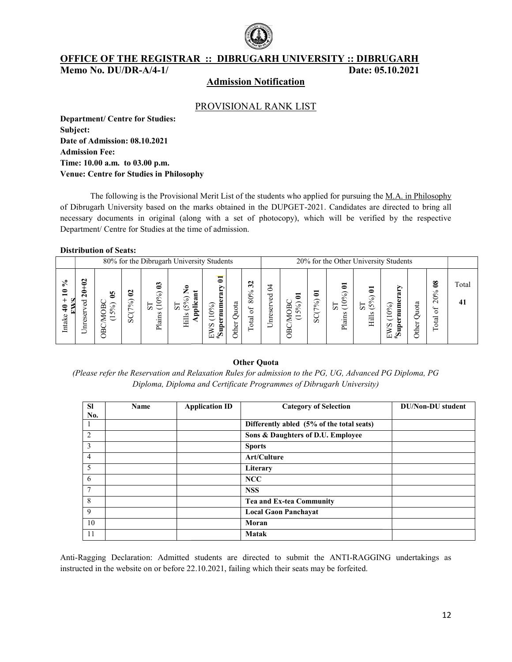

OFFICE OF THE REGISTRAR :: DIBRUGARH UNIVERSITY :: DIBRUGARH :: DIBRUGARH Date: 05.10.2021

Memo No. DU/DR-A/4-1/

#### Admission Notification

#### PROVISIONAL RANK LIST

Department/ Centre for Studies: Subject: Date of Admission: 08.10.2021 Admission Fee: Time: 10.00 a.m. to 03.00 p.m. Venue: Centre for Studies in Philosophy

The following is the Provisional Merit List of the students who applied for pursuing the M.A. in Philosophy of Dibrugarh University based on the marks obtained in the DUPGET-2021. Candidates are directed to bring all necessary documents in original (along with a set of photocopy), which will be verified by the respective Department/ Centre for Studies at the time of admission. Department/ Centre for Studies at the time of admission.

#### Distribution of Seats:

|                            |                                                       | 80% for the Dibrugarh University Students                                         |                                                    |                                                                                  |                                                                                    |                                                                                                    |                  | 20% for the Other University Students                             |                          |                                                                             |                 |                                                                                        |                                         |                                                                                                                      |                   |                                                                              |             |  |
|----------------------------|-------------------------------------------------------|-----------------------------------------------------------------------------------|----------------------------------------------------|----------------------------------------------------------------------------------|------------------------------------------------------------------------------------|----------------------------------------------------------------------------------------------------|------------------|-------------------------------------------------------------------|--------------------------|-----------------------------------------------------------------------------|-----------------|----------------------------------------------------------------------------------------|-----------------------------------------|----------------------------------------------------------------------------------------------------------------------|-------------------|------------------------------------------------------------------------------|-------------|--|
| వి<br>◓<br>₽<br>E<br>Intak | $\boldsymbol{c}$<br>$\overline{a}$<br>ರ<br>ö<br>Unres | S<br>ာ<br>Ă<br>$5^{\circ}$<br>$\check{ }$<br>↽<br>∪<br>⋖<br>$\check{ }$<br>Ā<br>◡ | ខ<br>$\mathcal{S}_0$<br>L<br>$\check{ }$<br>◡<br>Ō | $\boldsymbol{3}$<br>$\widehat{\cdot}$<br>$\circ$<br>$\Xi$<br>⊢<br>Ò<br>ains<br>ᆮ | $\bullet$<br>⇁<br>Ĕ<br>$\widehat{\cdot}$<br>ದ<br>0<br>튐<br>$\overline{c}$<br>Hills | ຣ<br>్<br>ğ<br>$\rm _{10^{\circ}}$<br>F<br>$\overline{\phantom{0}}$<br>w<br>≏<br>Ξ<br>≤<br>$E^*$ ច | ದ<br>⊐<br>ö<br>€ | $\mathbf{32}$<br>۰o<br>80%<br>र्ज<br>$\overline{\mathbf{a}}$<br>Ğ | 2<br>g<br>eser<br>ᄇ<br>⊃ | ∊<br>ЭgО<br>$\widehat{\cdot}$<br>$\bullet$<br>$\overline{r}$<br>ー<br>◡<br>Š | 3<br>(7%)<br>ಀೢ | $\overline{a}$<br>$\widehat{\cdot}$<br>ò<br>$rac{6}{5}$<br>S <sub>T</sub><br>ains<br>ದ | Ξ<br>ౕ<br>$(5^{\circ})$<br>1S<br>S<br>E | ∽<br>Φ<br>0%<br>ε<br>$\overline{\phantom{0}}$<br>$\overline{\phantom{0}}$<br>S<br>$\sim$<br>⋍<br>∍<br>$\mathbb{Z}^*$ | Quota<br>her<br>ب | ౾<br>-0<br>S<br>$\sim$<br>́₩<br>ö<br>$\overline{\mathbf{a}}$<br>$\circ$<br>⊢ | Total<br>41 |  |

#### Other Quota

(Please refer the Reservation and Relaxation Rules for admission to the PG, UG, Advanced PG Diploma, PG Diploma, Diploma and Certificate Programmes of Dibrugarh University)

| <b>SI</b><br>No. | <b>Name</b> | <b>Application ID</b> | <b>Category of Selection</b>              | <b>DU/Non-DU</b> student |
|------------------|-------------|-----------------------|-------------------------------------------|--------------------------|
|                  |             |                       | Differently abled (5% of the total seats) |                          |
| 2                |             |                       | Sons & Daughters of D.U. Employee         |                          |
| 3                |             |                       | <b>Sports</b>                             |                          |
| 4                |             |                       | Art/Culture                               |                          |
| 5                |             |                       | Literary                                  |                          |
| 6                |             |                       | <b>NCC</b>                                |                          |
| $\overline{7}$   |             |                       | <b>NSS</b>                                |                          |
| 8                |             |                       | Tea and Ex-tea Community                  |                          |
| 9                |             |                       | <b>Local Gaon Panchayat</b>               |                          |
| 10               |             |                       | Moran                                     |                          |
| 11               |             |                       | <b>Matak</b>                              |                          |

Anti-Ragging Declaration: Admitted students are directed to submit the ANTI-RAGGING undertakings as instructed in the website on or before 22.10.2021, failing which their seats may be forfeited. their seats may